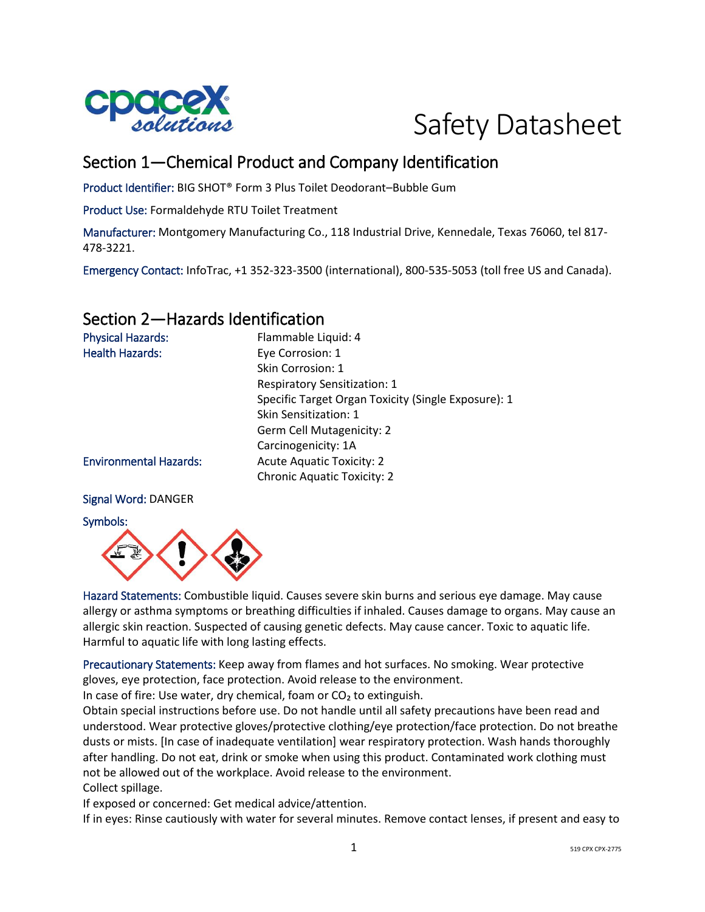



## Section 1—Chemical Product and Company Identification

Product Identifier: BIG SHOT® Form 3 Plus Toilet Deodorant–Bubble Gum

Product Use: Formaldehyde RTU Toilet Treatment

Manufacturer: Montgomery Manufacturing Co., 118 Industrial Drive, Kennedale, Texas 76060, tel 817- 478-3221.

Emergency Contact: InfoTrac, +1 352-323-3500 (international), 800-535-5053 (toll free US and Canada).

### Section 2—Hazards Identification

| <b>Physical Hazards:</b>      | Flammable Liquid: 4                                 |
|-------------------------------|-----------------------------------------------------|
| <b>Health Hazards:</b>        | Eye Corrosion: 1                                    |
|                               | Skin Corrosion: 1                                   |
|                               | <b>Respiratory Sensitization: 1</b>                 |
|                               | Specific Target Organ Toxicity (Single Exposure): 1 |
|                               | Skin Sensitization: 1                               |
|                               | Germ Cell Mutagenicity: 2                           |
|                               | Carcinogenicity: 1A                                 |
| <b>Environmental Hazards:</b> | <b>Acute Aquatic Toxicity: 2</b>                    |
|                               | <b>Chronic Aquatic Toxicity: 2</b>                  |
|                               |                                                     |

#### Signal Word: DANGER

Symbols:



Hazard Statements: Combustible liquid. Causes severe skin burns and serious eye damage. May cause allergy or asthma symptoms or breathing difficulties if inhaled. Causes damage to organs. May cause an allergic skin reaction. Suspected of causing genetic defects. May cause cancer. Toxic to aquatic life. Harmful to aquatic life with long lasting effects.

Precautionary Statements: Keep away from flames and hot surfaces. No smoking. Wear protective gloves, eye protection, face protection. Avoid release to the environment.

In case of fire: Use water, dry chemical, foam or  $CO<sub>2</sub>$  to extinguish.

Obtain special instructions before use. Do not handle until all safety precautions have been read and understood. Wear protective gloves/protective clothing/eye protection/face protection. Do not breathe dusts or mists. [In case of inadequate ventilation] wear respiratory protection. Wash hands thoroughly after handling. Do not eat, drink or smoke when using this product. Contaminated work clothing must not be allowed out of the workplace. Avoid release to the environment. Collect spillage.

If exposed or concerned: Get medical advice/attention.

If in eyes: Rinse cautiously with water for several minutes. Remove contact lenses, if present and easy to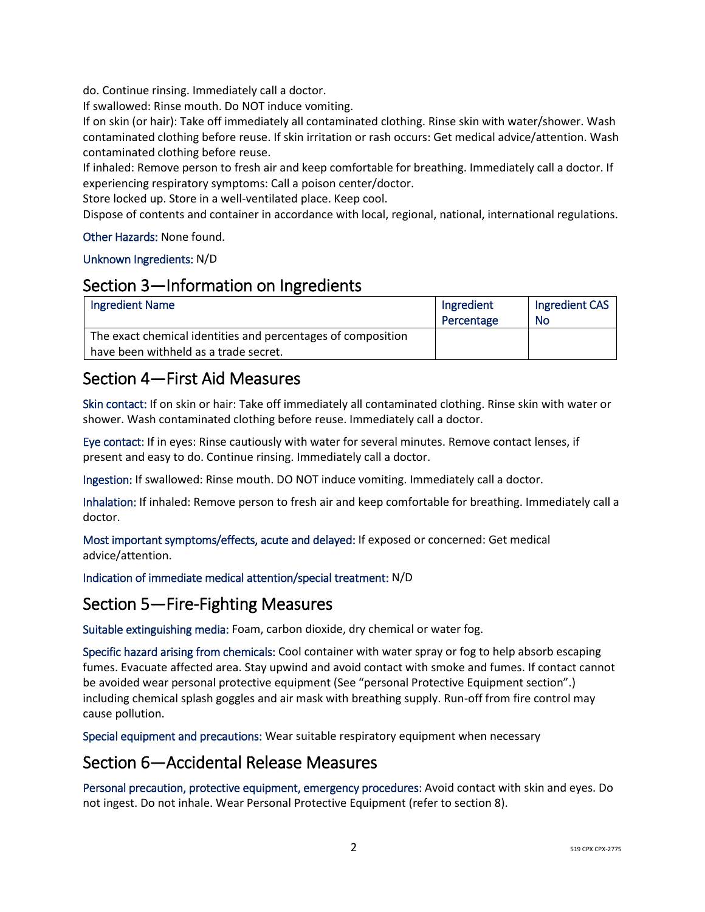do. Continue rinsing. Immediately call a doctor.

If swallowed: Rinse mouth. Do NOT induce vomiting.

If on skin (or hair): Take off immediately all contaminated clothing. Rinse skin with water/shower. Wash contaminated clothing before reuse. If skin irritation or rash occurs: Get medical advice/attention. Wash contaminated clothing before reuse.

If inhaled: Remove person to fresh air and keep comfortable for breathing. Immediately call a doctor. If experiencing respiratory symptoms: Call a poison center/doctor.

Store locked up. Store in a well-ventilated place. Keep cool.

Dispose of contents and container in accordance with local, regional, national, international regulations.

#### Other Hazards: None found.

#### Unknown Ingredients: N/D

### Section 3—Information on Ingredients

| <b>Ingredient Name</b>                                       | Ingredient | Ingredient CAS |
|--------------------------------------------------------------|------------|----------------|
|                                                              | Percentage | No             |
| The exact chemical identities and percentages of composition |            |                |
| have been withheld as a trade secret.                        |            |                |

## Section 4—First Aid Measures

Skin contact: If on skin or hair: Take off immediately all contaminated clothing. Rinse skin with water or shower. Wash contaminated clothing before reuse. Immediately call a doctor.

Eye contact: If in eyes: Rinse cautiously with water for several minutes. Remove contact lenses, if present and easy to do. Continue rinsing. Immediately call a doctor.

Ingestion: If swallowed: Rinse mouth. DO NOT induce vomiting. Immediately call a doctor.

Inhalation: If inhaled: Remove person to fresh air and keep comfortable for breathing. Immediately call a doctor.

Most important symptoms/effects, acute and delayed: If exposed or concerned: Get medical advice/attention.

Indication of immediate medical attention/special treatment: N/D

### Section 5—Fire-Fighting Measures

Suitable extinguishing media: Foam, carbon dioxide, dry chemical or water fog.

Specific hazard arising from chemicals: Cool container with water spray or fog to help absorb escaping fumes. Evacuate affected area. Stay upwind and avoid contact with smoke and fumes. If contact cannot be avoided wear personal protective equipment (See "personal Protective Equipment section".) including chemical splash goggles and air mask with breathing supply. Run-off from fire control may cause pollution.

Special equipment and precautions: Wear suitable respiratory equipment when necessary

### Section 6—Accidental Release Measures

Personal precaution, protective equipment, emergency procedures: Avoid contact with skin and eyes. Do not ingest. Do not inhale. Wear Personal Protective Equipment (refer to section 8).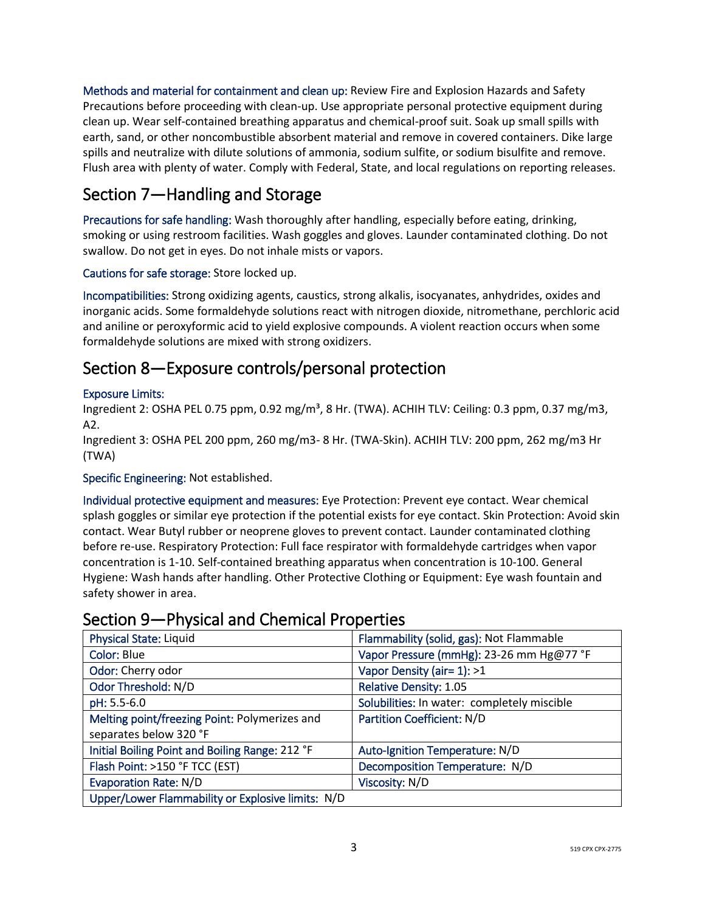Methods and material for containment and clean up: Review Fire and Explosion Hazards and Safety Precautions before proceeding with clean-up. Use appropriate personal protective equipment during clean up. Wear self-contained breathing apparatus and chemical-proof suit. Soak up small spills with earth, sand, or other noncombustible absorbent material and remove in covered containers. Dike large spills and neutralize with dilute solutions of ammonia, sodium sulfite, or sodium bisulfite and remove. Flush area with plenty of water. Comply with Federal, State, and local regulations on reporting releases.

# Section 7—Handling and Storage

Precautions for safe handling: Wash thoroughly after handling, especially before eating, drinking, smoking or using restroom facilities. Wash goggles and gloves. Launder contaminated clothing. Do not swallow. Do not get in eyes. Do not inhale mists or vapors.

Cautions for safe storage: Store locked up.

Incompatibilities: Strong oxidizing agents, caustics, strong alkalis, isocyanates, anhydrides, oxides and inorganic acids. Some formaldehyde solutions react with nitrogen dioxide, nitromethane, perchloric acid and aniline or peroxyformic acid to yield explosive compounds. A violent reaction occurs when some formaldehyde solutions are mixed with strong oxidizers.

## Section 8—Exposure controls/personal protection

#### Exposure Limits:

Ingredient 2: OSHA PEL 0.75 ppm, 0.92 mg/m<sup>3</sup>, 8 Hr. (TWA). ACHIH TLV: Ceiling: 0.3 ppm, 0.37 mg/m3, A2.

Ingredient 3: OSHA PEL 200 ppm, 260 mg/m3- 8 Hr. (TWA-Skin). ACHIH TLV: 200 ppm, 262 mg/m3 Hr (TWA)

Specific Engineering: Not established.

Individual protective equipment and measures: Eye Protection: Prevent eye contact. Wear chemical splash goggles or similar eye protection if the potential exists for eye contact. Skin Protection: Avoid skin contact. Wear Butyl rubber or neoprene gloves to prevent contact. Launder contaminated clothing before re-use. Respiratory Protection: Full face respirator with formaldehyde cartridges when vapor concentration is 1-10. Self-contained breathing apparatus when concentration is 10-100. General Hygiene: Wash hands after handling. Other Protective Clothing or Equipment: Eye wash fountain and safety shower in area.

## Section 9—Physical and Chemical Properties

| <b>Physical State: Liquid</b>                     | Flammability (solid, gas): Not Flammable    |
|---------------------------------------------------|---------------------------------------------|
| Color: Blue                                       | Vapor Pressure (mmHg): 23-26 mm Hg@77 °F    |
| Odor: Cherry odor                                 | Vapor Density (air= 1): >1                  |
| Odor Threshold: N/D                               | <b>Relative Density: 1.05</b>               |
| pH: 5.5-6.0                                       | Solubilities: In water: completely miscible |
| Melting point/freezing Point: Polymerizes and     | <b>Partition Coefficient: N/D</b>           |
| separates below 320 °F                            |                                             |
| Initial Boiling Point and Boiling Range: 212 °F   | Auto-Ignition Temperature: N/D              |
| Flash Point: >150 °F TCC (EST)                    | Decomposition Temperature: N/D              |
| <b>Evaporation Rate: N/D</b>                      | Viscosity: N/D                              |
| Upper/Lower Flammability or Explosive limits: N/D |                                             |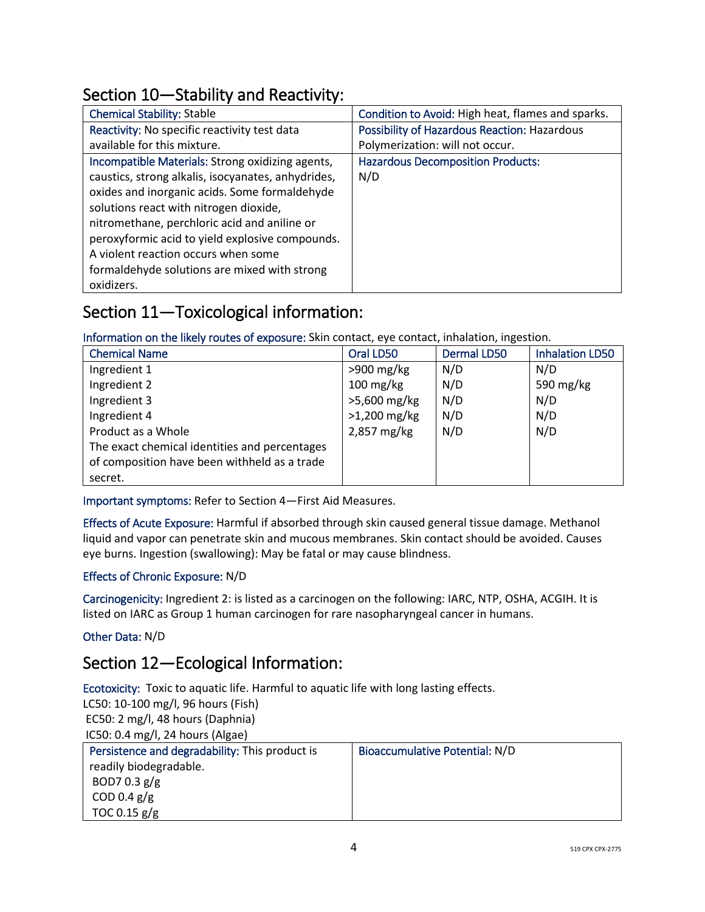# Section 10—Stability and Reactivity:

| <b>Chemical Stability: Stable</b>                  | Condition to Avoid: High heat, flames and sparks.   |
|----------------------------------------------------|-----------------------------------------------------|
| Reactivity: No specific reactivity test data       | <b>Possibility of Hazardous Reaction: Hazardous</b> |
| available for this mixture.                        | Polymerization: will not occur.                     |
| Incompatible Materials: Strong oxidizing agents,   | <b>Hazardous Decomposition Products:</b>            |
| caustics, strong alkalis, isocyanates, anhydrides, | N/D                                                 |
| oxides and inorganic acids. Some formaldehyde      |                                                     |
| solutions react with nitrogen dioxide,             |                                                     |
| nitromethane, perchloric acid and aniline or       |                                                     |
| peroxyformic acid to yield explosive compounds.    |                                                     |
| A violent reaction occurs when some                |                                                     |
| formaldehyde solutions are mixed with strong       |                                                     |
| oxidizers.                                         |                                                     |

# Section 11—Toxicological information:

Information on the likely routes of exposure: Skin contact, eye contact, inhalation, ingestion.

| <b>Chemical Name</b>                          | Oral LD50              | <b>Dermal LD50</b> | <b>Inhalation LD50</b> |
|-----------------------------------------------|------------------------|--------------------|------------------------|
| Ingredient 1                                  | $>900$ mg/kg           | N/D                | N/D                    |
| Ingredient 2                                  | $100 \,\mathrm{mg/kg}$ | N/D                | 590 mg/kg              |
| Ingredient 3                                  | >5,600 mg/kg           | N/D                | N/D                    |
| Ingredient 4                                  | $>1,200$ mg/kg         | N/D                | N/D                    |
| Product as a Whole                            | 2,857 mg/kg            | N/D                | N/D                    |
| The exact chemical identities and percentages |                        |                    |                        |
| of composition have been withheld as a trade  |                        |                    |                        |
| secret.                                       |                        |                    |                        |

Important symptoms: Refer to Section 4—First Aid Measures.

Effects of Acute Exposure: Harmful if absorbed through skin caused general tissue damage. Methanol liquid and vapor can penetrate skin and mucous membranes. Skin contact should be avoided. Causes eye burns. Ingestion (swallowing): May be fatal or may cause blindness.

#### Effects of Chronic Exposure: N/D

Carcinogenicity: Ingredient 2: is listed as a carcinogen on the following: IARC, NTP, OSHA, ACGIH. It is listed on IARC as Group 1 human carcinogen for rare nasopharyngeal cancer in humans.

#### Other Data: N/D

# Section 12—Ecological Information:

Ecotoxicity: Toxic to aquatic life. Harmful to aquatic life with long lasting effects.

LC50: 10-100 mg/l, 96 hours (Fish) EC50: 2 mg/l, 48 hours (Daphnia)

| IC50: 0.4 mg/l, 24 hours (Algae) |                                                |  |
|----------------------------------|------------------------------------------------|--|
|                                  | Persistence and degradability: This product is |  |

| Persistence and degradability: This product is | <b>Bioaccumulative Potential: N/D</b> |
|------------------------------------------------|---------------------------------------|
| readily biodegradable.                         |                                       |
| BOD7 0.3 $g/g$                                 |                                       |
| COD 0.4 $g/g$                                  |                                       |
| TOC 0.15 $g/g$                                 |                                       |